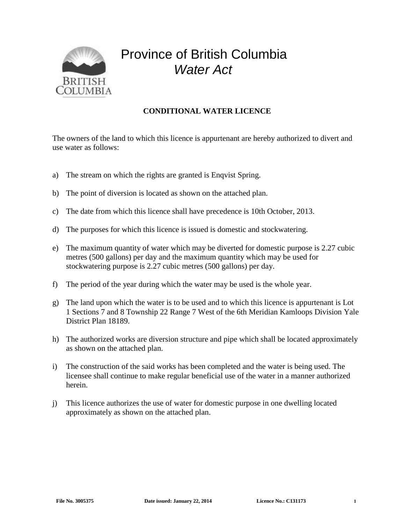

## Province of British Columbia *Water Act*

## **CONDITIONAL WATER LICENCE**

The owners of the land to which this licence is appurtenant are hereby authorized to divert and use water as follows:

- a) The stream on which the rights are granted is Enqvist Spring.
- b) The point of diversion is located as shown on the attached plan.
- c) The date from which this licence shall have precedence is 10th October, 2013.
- d) The purposes for which this licence is issued is domestic and stockwatering.
- e) The maximum quantity of water which may be diverted for domestic purpose is 2.27 cubic metres (500 gallons) per day and the maximum quantity which may be used for stockwatering purpose is 2.27 cubic metres (500 gallons) per day.
- f) The period of the year during which the water may be used is the whole year.
- g) The land upon which the water is to be used and to which this licence is appurtenant is Lot 1 Sections 7 and 8 Township 22 Range 7 West of the 6th Meridian Kamloops Division Yale District Plan 18189.
- h) The authorized works are diversion structure and pipe which shall be located approximately as shown on the attached plan.
- i) The construction of the said works has been completed and the water is being used. The licensee shall continue to make regular beneficial use of the water in a manner authorized herein.
- j) This licence authorizes the use of water for domestic purpose in one dwelling located approximately as shown on the attached plan.